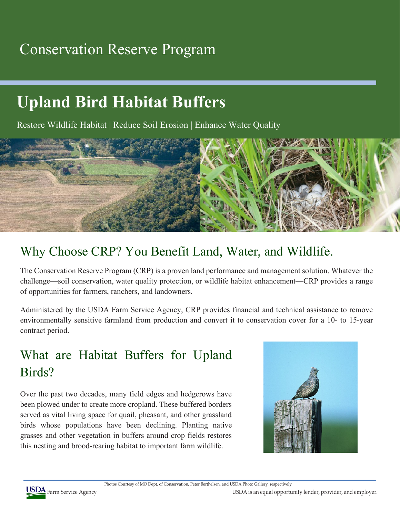## Conservation Reserve Program

# **Upland Bird Habitat Buffers**

Restore Wildlife Habitat | Reduce Soil Erosion | Enhance Water Quality



#### Why Choose CRP? You Benefit Land, Water, and Wildlife.

The Conservation Reserve Program (CRP) is a proven land performance and management solution. Whatever the challenge—soil conservation, water quality protection, or wildlife habitat enhancement—CRP provides a range of opportunities for farmers, ranchers, and landowners.

Administered by the USDA Farm Service Agency, CRP provides financial and technical assistance to remove environmentally sensitive farmland from production and convert it to conservation cover for a 10- to 15-year contract period.

### What are Habitat Buffers for Upland Birds?

Over the past two decades, many field edges and hedgerows have been plowed under to create more cropland. These buffered borders served as vital living space for quail, pheasant, and other grassland birds whose populations have been declining. Planting native grasses and other vegetation in buffers around crop fields restores this nesting and brood-rearing habitat to important farm wildlife.



Photos Courtesy of MO Dept. of Conservation, Peter Berthelsen, and USDA Photo Gallery, respectively

USDA Farm Service Agency **USDA** Farm Service Agency **USDA** is an equal opportunity lender, provider, and employer.